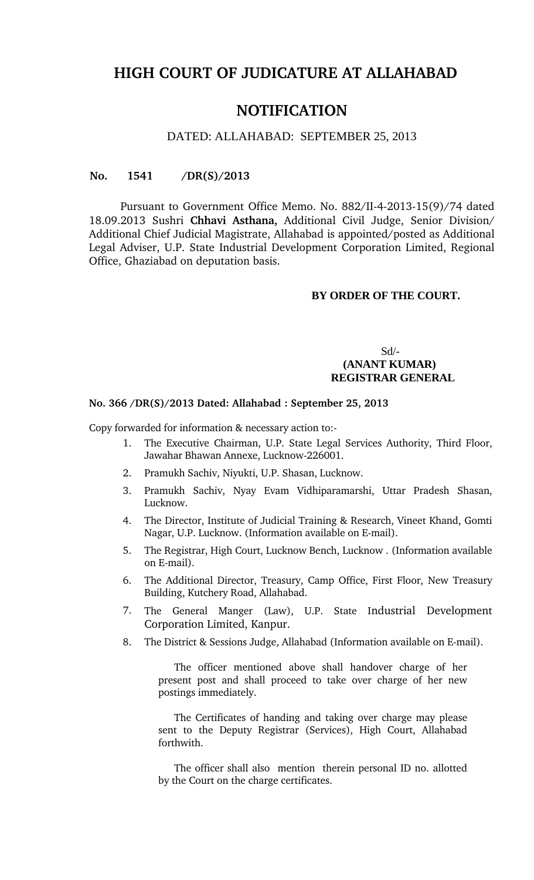# **HIGH COURT OF JUDICATURE AT ALLAHABAD**

## **NOTIFICATION**

#### DATED: ALLAHABAD: SEPTEMBER 25, 2013

#### **No. 1541 /DR(S)/2013**

Pursuant to Government Office Memo. No. 882/II-4-2013-15(9)/74 dated 18.09.2013 Sushri **Chhavi Asthana,** Additional Civil Judge, Senior Division/ Additional Chief Judicial Magistrate, Allahabad is appointed/posted as Additional Legal Adviser, U.P. State Industrial Development Corporation Limited, Regional Office, Ghaziabad on deputation basis.

## **BY ORDER OF THE COURT.**

## Sd/-  **(ANANT KUMAR) REGISTRAR GENERAL**

#### **No. 366 /DR(S)/2013 Dated: Allahabad : September 25, 2013**

Copy forwarded for information & necessary action to:

- 1. The Executive Chairman, U.P. State Legal Services Authority, Third Floor, Jawahar Bhawan Annexe, Lucknow-226001.
- 2. Pramukh Sachiv, Niyukti, U.P. Shasan, Lucknow.
- 3. Pramukh Sachiv, Nyay Evam Vidhiparamarshi, Uttar Pradesh Shasan, Lucknow.
- 4. The Director, Institute of Judicial Training & Research, Vineet Khand, Gomti Nagar, U.P. Lucknow. (Information available on E-mail).
- 5. The Registrar, High Court, Lucknow Bench, Lucknow . (Information available on E-mail).
- 6. The Additional Director, Treasury, Camp Office, First Floor, New Treasury Building, Kutchery Road, Allahabad.
- 7. The General Manger (Law), U.P. State Industrial Development Corporation Limited, Kanpur.
- 8. The District & Sessions Judge, Allahabad (Information available on E-mail).

The officer mentioned above shall handover charge of her present post and shall proceed to take over charge of her new postings immediately.

The Certificates of handing and taking over charge may please sent to the Deputy Registrar (Services), High Court, Allahabad forthwith.

The officer shall also mention therein personal ID no. allotted by the Court on the charge certificates.